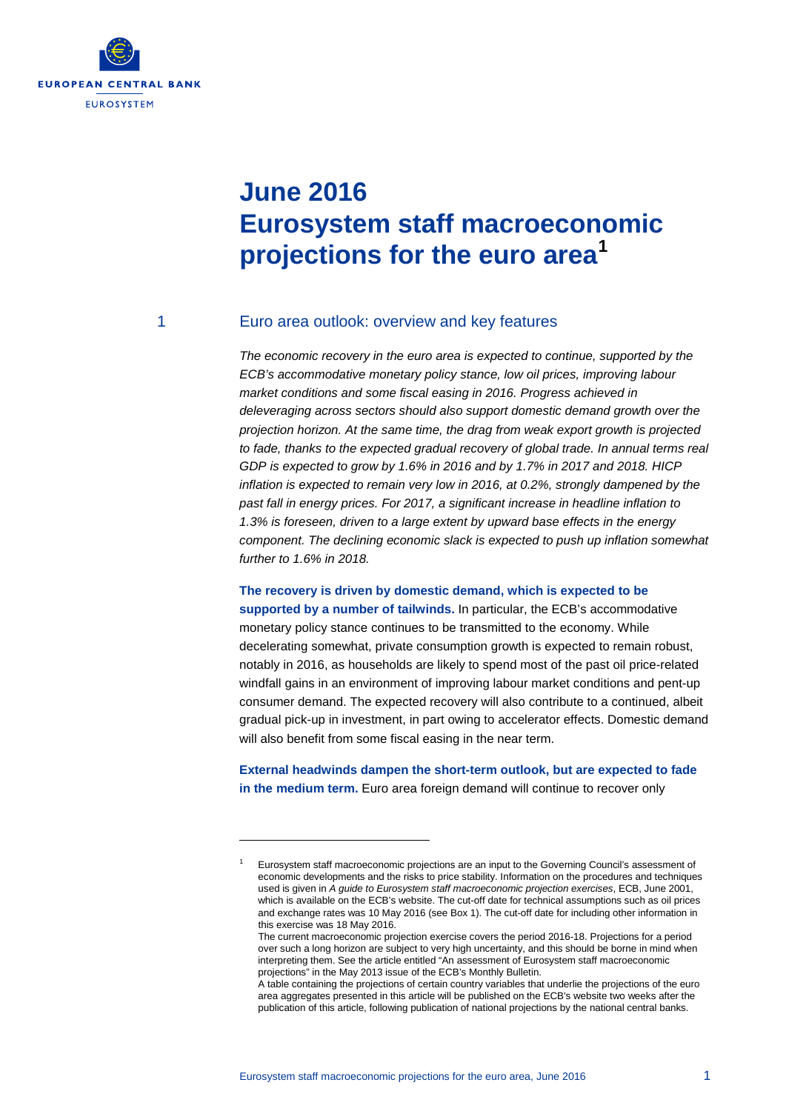

# **June 2016 Eurosystem staff macroeconomic projections for the euro area[1](#page-0-0)**

-

### 1 Euro area outlook: overview and key features

*The economic recovery in the euro area is expected to continue, supported by the ECB's accommodative monetary policy stance, low oil prices, improving labour market conditions and some fiscal easing in 2016. Progress achieved in deleveraging across sectors should also support domestic demand growth over the projection horizon. At the same time, the drag from weak export growth is projected to fade, thanks to the expected gradual recovery of global trade. In annual terms real GDP is expected to grow by 1.6% in 2016 and by 1.7% in 2017 and 2018. HICP inflation is expected to remain very low in 2016, at 0.2%, strongly dampened by the past fall in energy prices. For 2017, a significant increase in headline inflation to 1.3% is foreseen, driven to a large extent by upward base effects in the energy component. The declining economic slack is expected to push up inflation somewhat further to 1.6% in 2018.* 

**The recovery is driven by domestic demand, which is expected to be supported by a number of tailwinds.** In particular, the ECB's accommodative monetary policy stance continues to be transmitted to the economy. While decelerating somewhat, private consumption growth is expected to remain robust, notably in 2016, as households are likely to spend most of the past oil price-related windfall gains in an environment of improving labour market conditions and pent-up consumer demand. The expected recovery will also contribute to a continued, albeit gradual pick-up in investment, in part owing to accelerator effects. Domestic demand will also benefit from some fiscal easing in the near term.

**External headwinds dampen the short-term outlook, but are expected to fade in the medium term.** Euro area foreign demand will continue to recover only

<span id="page-0-0"></span><sup>1</sup> Eurosystem staff macroeconomic projections are an input to the Governing Council's assessment of economic developments and the risks to price stability. Information on the procedures and techniques used is given in *A guide to Eurosystem staff macroeconomic projection exercises*, ECB, June 2001, which is available on the ECB's website. The cut-off date for technical assumptions such as oil prices and exchange rates was 10 May 2016 (see Box 1). The cut-off date for including other information in this exercise was 18 May 2016.

The current macroeconomic projection exercise covers the period 2016-18. Projections for a period over such a long horizon are subject to very high uncertainty, and this should be borne in mind when interpreting them. See the article entitled "An assessment of Eurosystem staff macroeconomic projections" in the May 2013 issue of the ECB's Monthly Bulletin.

A table containing the projections of certain country variables that underlie the projections of the euro area aggregates presented in this article will be published on the ECB's website two weeks after the publication of this article, following publication of national projections by the national central banks.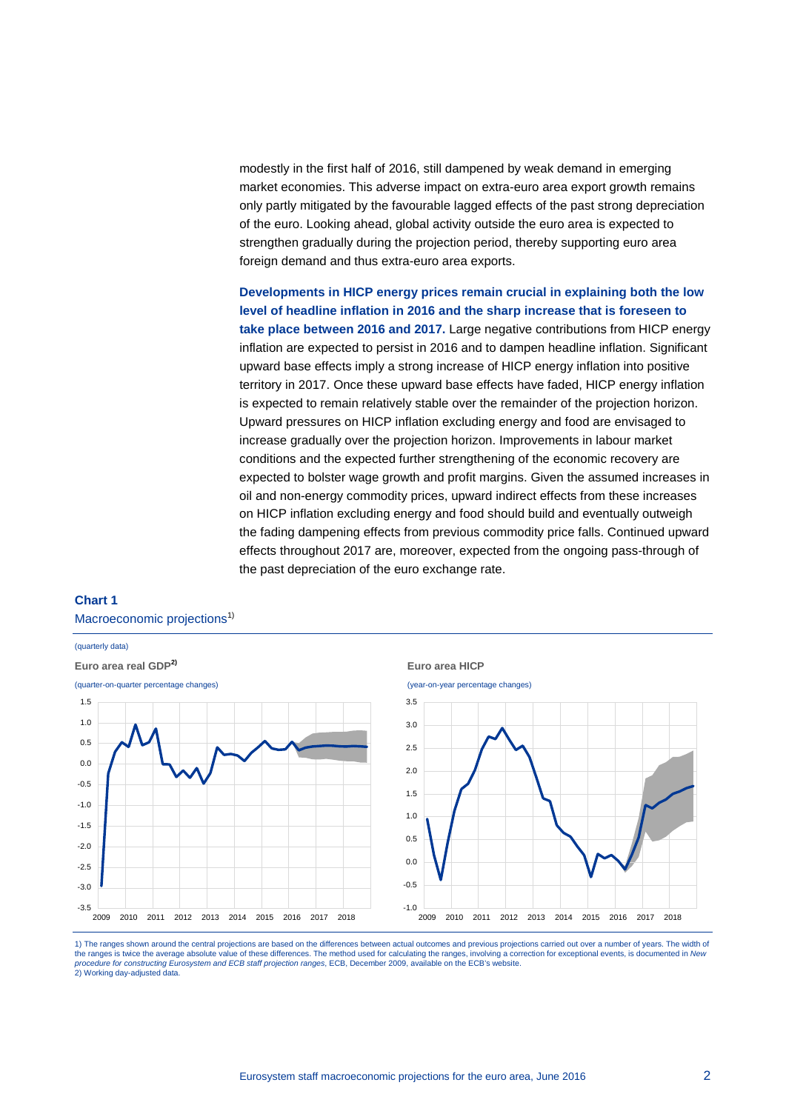modestly in the first half of 2016, still dampened by weak demand in emerging market economies. This adverse impact on extra-euro area export growth remains only partly mitigated by the favourable lagged effects of the past strong depreciation of the euro. Looking ahead, global activity outside the euro area is expected to strengthen gradually during the projection period, thereby supporting euro area foreign demand and thus extra-euro area exports.

**Developments in HICP energy prices remain crucial in explaining both the low level of headline inflation in 2016 and the sharp increase that is foreseen to take place between 2016 and 2017.** Large negative contributions from HICP energy inflation are expected to persist in 2016 and to dampen headline inflation. Significant upward base effects imply a strong increase of HICP energy inflation into positive territory in 2017. Once these upward base effects have faded, HICP energy inflation is expected to remain relatively stable over the remainder of the projection horizon. Upward pressures on HICP inflation excluding energy and food are envisaged to increase gradually over the projection horizon. Improvements in labour market conditions and the expected further strengthening of the economic recovery are expected to bolster wage growth and profit margins. Given the assumed increases in oil and non-energy commodity prices, upward indirect effects from these increases on HICP inflation excluding energy and food should build and eventually outweigh the fading dampening effects from previous commodity price falls. Continued upward effects throughout 2017 are, moreover, expected from the ongoing pass-through of the past depreciation of the euro exchange rate.

## **Chart 1** Macroeconomic projections<sup>1)</sup>



1) The ranges shown around the central projections are based on the differences between actual outcomes and previous projections carried out over a number of years. The width of the ranges is twice the average absolute value of these differences. The method used for calculating the ranges, involving a correction for exceptional events, is documented in *New*<br>*procedure for constructing Eurosystem* 2) Working day-adjusted data.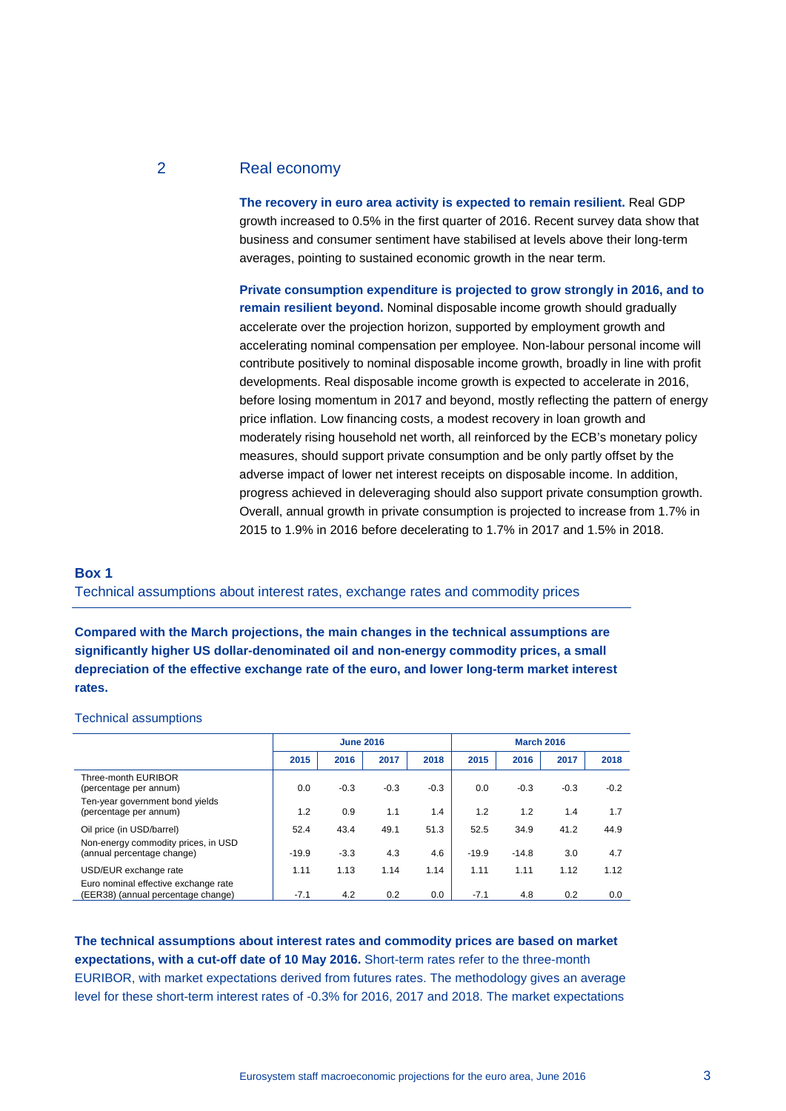# 2 Real economy

**The recovery in euro area activity is expected to remain resilient.** Real GDP growth increased to 0.5% in the first quarter of 2016. Recent survey data show that business and consumer sentiment have stabilised at levels above their long-term averages, pointing to sustained economic growth in the near term.

**Private consumption expenditure is projected to grow strongly in 2016, and to remain resilient beyond.** Nominal disposable income growth should gradually accelerate over the projection horizon, supported by employment growth and accelerating nominal compensation per employee. Non-labour personal income will contribute positively to nominal disposable income growth, broadly in line with profit developments. Real disposable income growth is expected to accelerate in 2016, before losing momentum in 2017 and beyond, mostly reflecting the pattern of energy price inflation. Low financing costs, a modest recovery in loan growth and moderately rising household net worth, all reinforced by the ECB's monetary policy measures, should support private consumption and be only partly offset by the adverse impact of lower net interest receipts on disposable income. In addition, progress achieved in deleveraging should also support private consumption growth. Overall, annual growth in private consumption is projected to increase from 1.7% in 2015 to 1.9% in 2016 before decelerating to 1.7% in 2017 and 1.5% in 2018.

# **Box 1**  Technical assumptions about interest rates, exchange rates and commodity prices

**Compared with the March projections, the main changes in the technical assumptions are significantly higher US dollar-denominated oil and non-energy commodity prices, a small depreciation of the effective exchange rate of the euro, and lower long-term market interest rates.**

#### Technical assumptions

|                                                                            | <b>June 2016</b> |        |        |        | <b>March 2016</b> |         |        |        |
|----------------------------------------------------------------------------|------------------|--------|--------|--------|-------------------|---------|--------|--------|
|                                                                            | 2015             | 2016   | 2017   | 2018   | 2015              | 2016    | 2017   | 2018   |
| Three-month EURIBOR<br>(percentage per annum)                              | 0.0              | $-0.3$ | $-0.3$ | $-0.3$ | 0.0               | $-0.3$  | $-0.3$ | $-0.2$ |
| Ten-year government bond vields<br>(percentage per annum)                  | 1.2              | 0.9    | 1.1    | 1.4    | 1.2               | 1.2     | 1.4    | 1.7    |
| Oil price (in USD/barrel)                                                  | 52.4             | 43.4   | 49.1   | 51.3   | 52.5              | 34.9    | 41.2   | 44.9   |
| Non-energy commodity prices, in USD<br>(annual percentage change)          | $-19.9$          | $-3.3$ | 4.3    | 4.6    | $-19.9$           | $-14.8$ | 3.0    | 4.7    |
| USD/EUR exchange rate                                                      | 1.11             | 1.13   | 1.14   | 1.14   | 1.11              | 1.11    | 1.12   | 1.12   |
| Euro nominal effective exchange rate<br>(EER38) (annual percentage change) | $-7.1$           | 4.2    | 0.2    | 0.0    | $-7.1$            | 4.8     | 0.2    | 0.0    |

**The technical assumptions about interest rates and commodity prices are based on market expectations, with a cut-off date of 10 May 2016.** Short-term rates refer to the three-month EURIBOR, with market expectations derived from futures rates. The methodology gives an average level for these short-term interest rates of -0.3% for 2016, 2017 and 2018. The market expectations

Eurosystem staff macroeconomic projections for the euro area, June 2016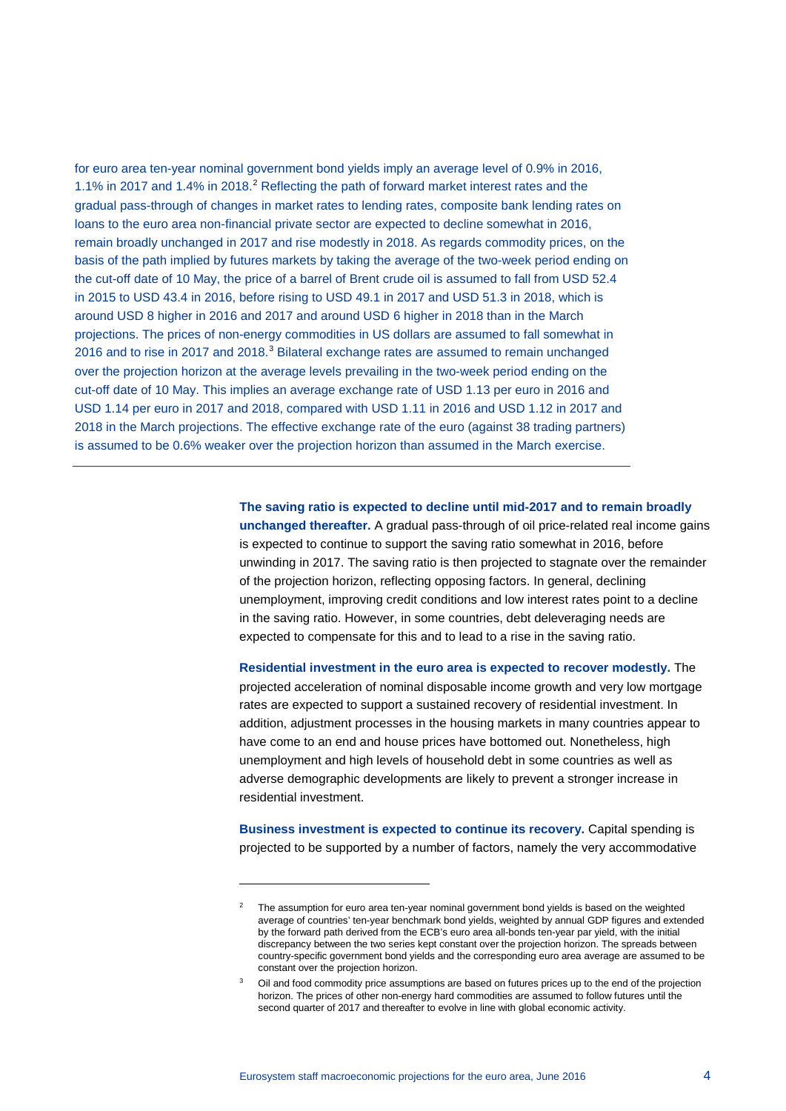for euro area ten-year nominal government bond yields imply an average level of 0.9% in 2016, 1.1% in [2](#page-3-0)017 and 1.4% in 2018.<sup>2</sup> Reflecting the path of forward market interest rates and the gradual pass-through of changes in market rates to lending rates, composite bank lending rates on loans to the euro area non-financial private sector are expected to decline somewhat in 2016, remain broadly unchanged in 2017 and rise modestly in 2018. As regards commodity prices, on the basis of the path implied by futures markets by taking the average of the two-week period ending on the cut-off date of 10 May, the price of a barrel of Brent crude oil is assumed to fall from USD 52.4 in 2015 to USD 43.4 in 2016, before rising to USD 49.1 in 2017 and USD 51.3 in 2018, which is around USD 8 higher in 2016 and 2017 and around USD 6 higher in 2018 than in the March projections. The prices of non-energy commodities in US dollars are assumed to fall somewhat in 2016 and to rise in 2017 and 2018.<sup>[3](#page-3-1)</sup> Bilateral exchange rates are assumed to remain unchanged over the projection horizon at the average levels prevailing in the two-week period ending on the cut-off date of 10 May. This implies an average exchange rate of USD 1.13 per euro in 2016 and USD 1.14 per euro in 2017 and 2018, compared with USD 1.11 in 2016 and USD 1.12 in 2017 and 2018 in the March projections. The effective exchange rate of the euro (against 38 trading partners) is assumed to be 0.6% weaker over the projection horizon than assumed in the March exercise.

> **The saving ratio is expected to decline until mid-2017 and to remain broadly unchanged thereafter.** A gradual pass-through of oil price-related real income gains is expected to continue to support the saving ratio somewhat in 2016, before unwinding in 2017. The saving ratio is then projected to stagnate over the remainder of the projection horizon, reflecting opposing factors. In general, declining unemployment, improving credit conditions and low interest rates point to a decline in the saving ratio. However, in some countries, debt deleveraging needs are expected to compensate for this and to lead to a rise in the saving ratio.

**Residential investment in the euro area is expected to recover modestly.** The projected acceleration of nominal disposable income growth and very low mortgage rates are expected to support a sustained recovery of residential investment. In addition, adjustment processes in the housing markets in many countries appear to have come to an end and house prices have bottomed out. Nonetheless, high unemployment and high levels of household debt in some countries as well as adverse demographic developments are likely to prevent a stronger increase in residential investment.

**Business investment is expected to continue its recovery.** Capital spending is projected to be supported by a number of factors, namely the very accommodative

-

<span id="page-3-0"></span><sup>2</sup> The assumption for euro area ten-year nominal government bond yields is based on the weighted average of countries' ten-year benchmark bond yields, weighted by annual GDP figures and extended by the forward path derived from the ECB's euro area all-bonds ten-year par yield, with the initial discrepancy between the two series kept constant over the projection horizon. The spreads between country-specific government bond yields and the corresponding euro area average are assumed to be constant over the projection horizon.

<span id="page-3-1"></span>Oil and food commodity price assumptions are based on futures prices up to the end of the projection horizon. The prices of other non-energy hard commodities are assumed to follow futures until the second quarter of 2017 and thereafter to evolve in line with global economic activity.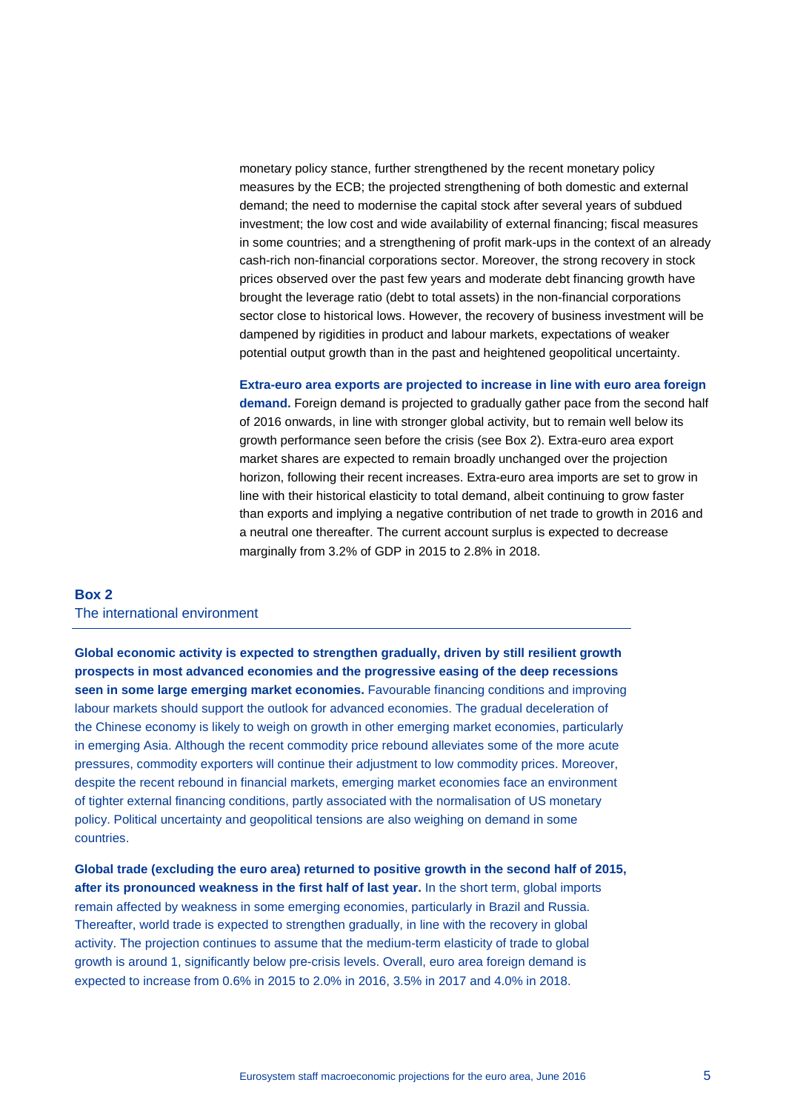monetary policy stance, further strengthened by the recent monetary policy measures by the ECB; the projected strengthening of both domestic and external demand; the need to modernise the capital stock after several years of subdued investment; the low cost and wide availability of external financing; fiscal measures in some countries; and a strengthening of profit mark-ups in the context of an already cash-rich non-financial corporations sector. Moreover, the strong recovery in stock prices observed over the past few years and moderate debt financing growth have brought the leverage ratio (debt to total assets) in the non-financial corporations sector close to historical lows. However, the recovery of business investment will be dampened by rigidities in product and labour markets, expectations of weaker potential output growth than in the past and heightened geopolitical uncertainty.

**Extra-euro area exports are projected to increase in line with euro area foreign demand.** Foreign demand is projected to gradually gather pace from the second half of 2016 onwards, in line with stronger global activity, but to remain well below its growth performance seen before the crisis (see Box 2). Extra-euro area export market shares are expected to remain broadly unchanged over the projection horizon, following their recent increases. Extra-euro area imports are set to grow in line with their historical elasticity to total demand, albeit continuing to grow faster than exports and implying a negative contribution of net trade to growth in 2016 and a neutral one thereafter. The current account surplus is expected to decrease marginally from 3.2% of GDP in 2015 to 2.8% in 2018.

# **Box 2** The international environment

**Global economic activity is expected to strengthen gradually, driven by still resilient growth prospects in most advanced economies and the progressive easing of the deep recessions seen in some large emerging market economies.** Favourable financing conditions and improving labour markets should support the outlook for advanced economies. The gradual deceleration of the Chinese economy is likely to weigh on growth in other emerging market economies, particularly in emerging Asia. Although the recent commodity price rebound alleviates some of the more acute pressures, commodity exporters will continue their adjustment to low commodity prices. Moreover, despite the recent rebound in financial markets, emerging market economies face an environment of tighter external financing conditions, partly associated with the normalisation of US monetary policy. Political uncertainty and geopolitical tensions are also weighing on demand in some countries.

**Global trade (excluding the euro area) returned to positive growth in the second half of 2015, after its pronounced weakness in the first half of last year.** In the short term, global imports remain affected by weakness in some emerging economies, particularly in Brazil and Russia. Thereafter, world trade is expected to strengthen gradually, in line with the recovery in global activity. The projection continues to assume that the medium-term elasticity of trade to global growth is around 1, significantly below pre-crisis levels. Overall, euro area foreign demand is expected to increase from 0.6% in 2015 to 2.0% in 2016, 3.5% in 2017 and 4.0% in 2018.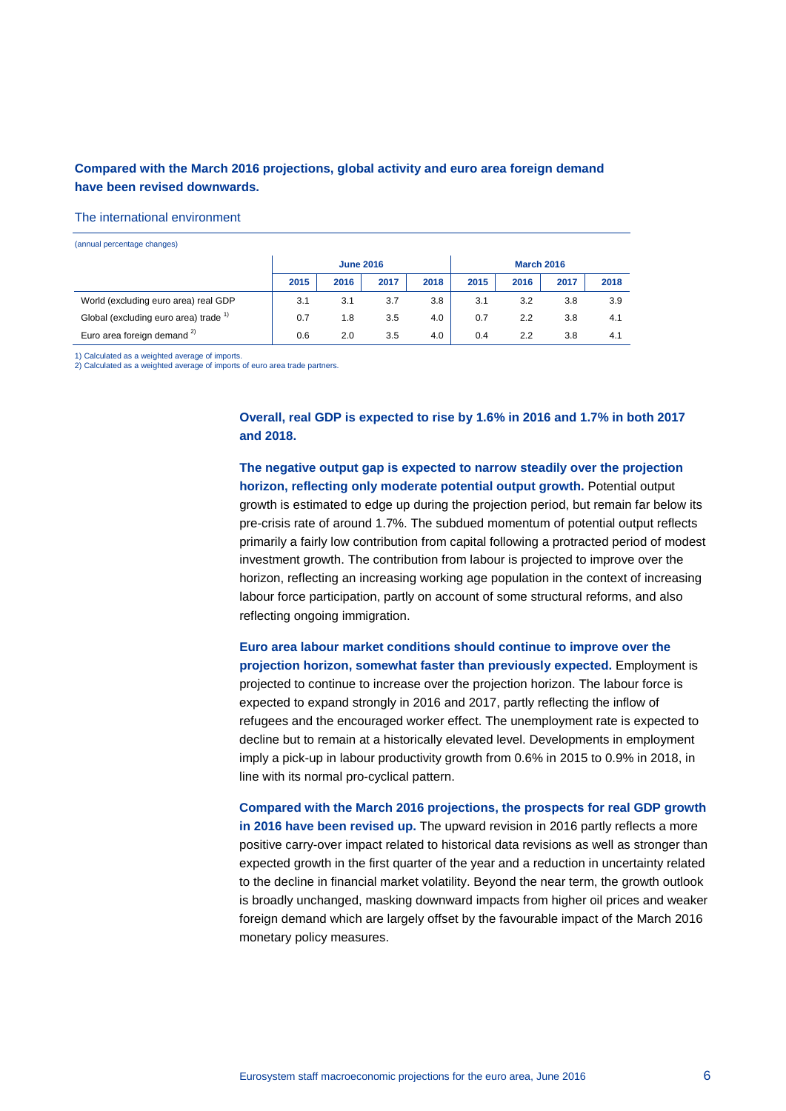# **Compared with the March 2016 projections, global activity and euro area foreign demand have been revised downwards.**

#### The international environment

(annual percentage changes)

|                                                  | <b>June 2016</b> |      |      |      | <b>March 2016</b> |      |      |      |
|--------------------------------------------------|------------------|------|------|------|-------------------|------|------|------|
|                                                  | 2015             | 2016 | 2017 | 2018 | 2015              | 2016 | 2017 | 2018 |
| World (excluding euro area) real GDP             | 3.1              | 3.1  | 3.7  | 3.8  | 3.1               | 3.2  | 3.8  | 3.9  |
| Global (excluding euro area) trade <sup>1)</sup> | 0.7              | 1.8  | 3.5  | 4.0  | 0.7               | 2.2  | 3.8  | 4.1  |
| Euro area foreign demand <sup>2)</sup>           | 0.6              | 2.0  | 3.5  | 4.0  | 0.4               | 2.2  | 3.8  | 4.1  |

1) Calculated as a weighted average of imports.

2) Calculated as a weighted average of imports of euro area trade partners.

**Overall, real GDP is expected to rise by 1.6% in 2016 and 1.7% in both 2017 and 2018.**

**The negative output gap is expected to narrow steadily over the projection horizon, reflecting only moderate potential output growth.** Potential output growth is estimated to edge up during the projection period, but remain far below its pre-crisis rate of around 1.7%. The subdued momentum of potential output reflects primarily a fairly low contribution from capital following a protracted period of modest investment growth. The contribution from labour is projected to improve over the horizon, reflecting an increasing working age population in the context of increasing labour force participation, partly on account of some structural reforms, and also reflecting ongoing immigration.

**Euro area labour market conditions should continue to improve over the projection horizon, somewhat faster than previously expected.** Employment is projected to continue to increase over the projection horizon. The labour force is expected to expand strongly in 2016 and 2017, partly reflecting the inflow of refugees and the encouraged worker effect. The unemployment rate is expected to decline but to remain at a historically elevated level. Developments in employment imply a pick-up in labour productivity growth from 0.6% in 2015 to 0.9% in 2018, in line with its normal pro-cyclical pattern.

**Compared with the March 2016 projections, the prospects for real GDP growth in 2016 have been revised up.** The upward revision in 2016 partly reflects a more positive carry-over impact related to historical data revisions as well as stronger than expected growth in the first quarter of the year and a reduction in uncertainty related to the decline in financial market volatility. Beyond the near term, the growth outlook is broadly unchanged, masking downward impacts from higher oil prices and weaker foreign demand which are largely offset by the favourable impact of the March 2016 monetary policy measures.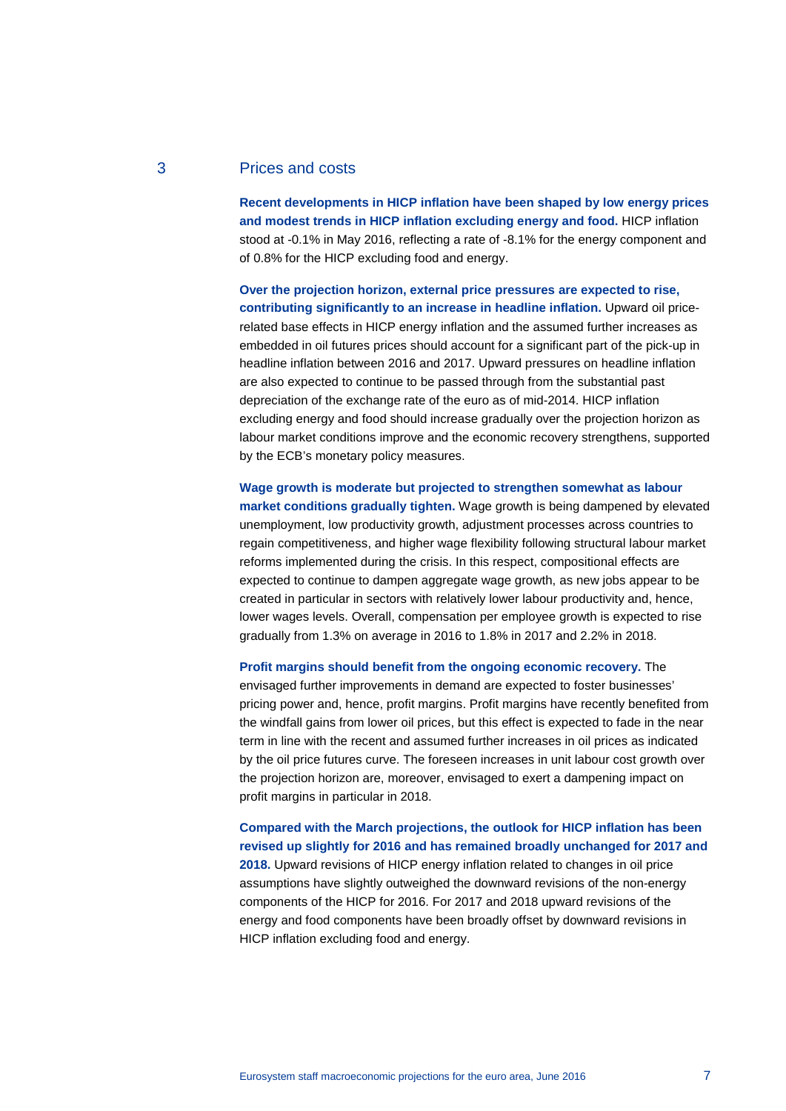# 3 Prices and costs

**Recent developments in HICP inflation have been shaped by low energy prices and modest trends in HICP inflation excluding energy and food.** HICP inflation stood at -0.1% in May 2016, reflecting a rate of -8.1% for the energy component and of 0.8% for the HICP excluding food and energy.

**Over the projection horizon, external price pressures are expected to rise, contributing significantly to an increase in headline inflation.** Upward oil pricerelated base effects in HICP energy inflation and the assumed further increases as embedded in oil futures prices should account for a significant part of the pick-up in headline inflation between 2016 and 2017. Upward pressures on headline inflation are also expected to continue to be passed through from the substantial past depreciation of the exchange rate of the euro as of mid-2014. HICP inflation excluding energy and food should increase gradually over the projection horizon as labour market conditions improve and the economic recovery strengthens, supported by the ECB's monetary policy measures.

**Wage growth is moderate but projected to strengthen somewhat as labour market conditions gradually tighten.** Wage growth is being dampened by elevated unemployment, low productivity growth, adjustment processes across countries to regain competitiveness, and higher wage flexibility following structural labour market reforms implemented during the crisis. In this respect, compositional effects are expected to continue to dampen aggregate wage growth, as new jobs appear to be created in particular in sectors with relatively lower labour productivity and, hence, lower wages levels. Overall, compensation per employee growth is expected to rise gradually from 1.3% on average in 2016 to 1.8% in 2017 and 2.2% in 2018.

**Profit margins should benefit from the ongoing economic recovery.** The envisaged further improvements in demand are expected to foster businesses' pricing power and, hence, profit margins. Profit margins have recently benefited from the windfall gains from lower oil prices, but this effect is expected to fade in the near term in line with the recent and assumed further increases in oil prices as indicated by the oil price futures curve. The foreseen increases in unit labour cost growth over the projection horizon are, moreover, envisaged to exert a dampening impact on profit margins in particular in 2018.

**Compared with the March projections, the outlook for HICP inflation has been revised up slightly for 2016 and has remained broadly unchanged for 2017 and 2018.** Upward revisions of HICP energy inflation related to changes in oil price assumptions have slightly outweighed the downward revisions of the non-energy components of the HICP for 2016. For 2017 and 2018 upward revisions of the energy and food components have been broadly offset by downward revisions in HICP inflation excluding food and energy.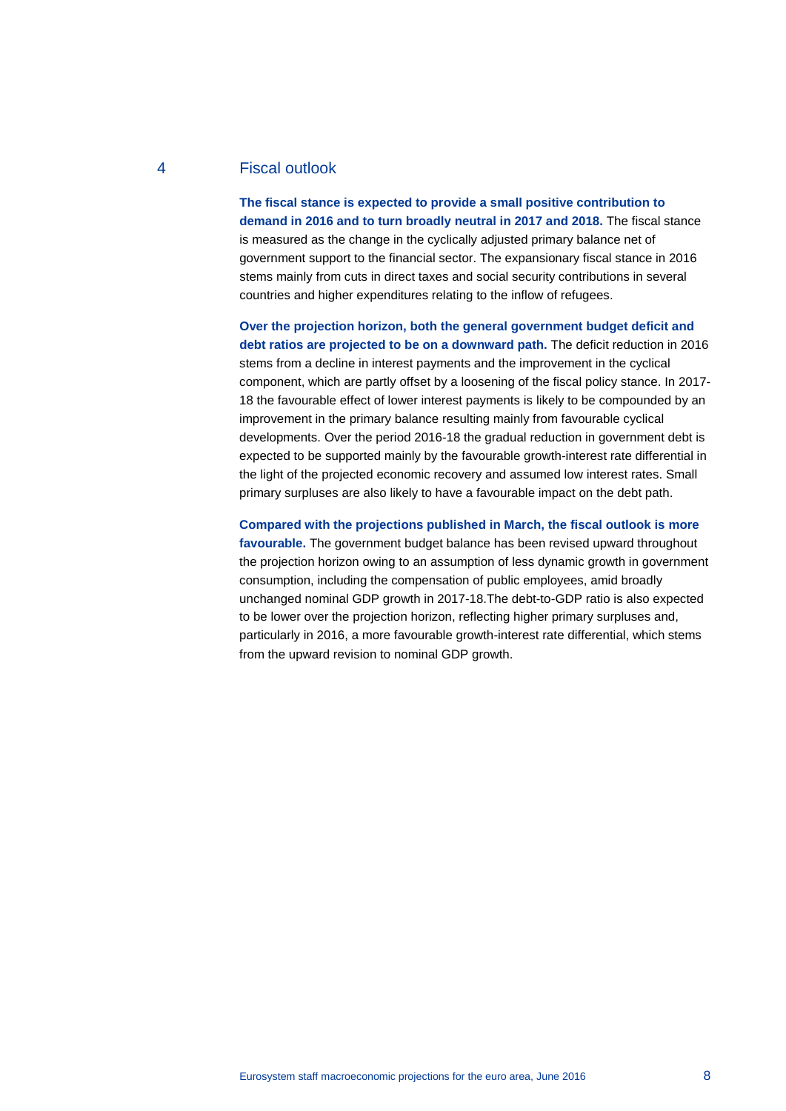# 4 Fiscal outlook

**The fiscal stance is expected to provide a small positive contribution to demand in 2016 and to turn broadly neutral in 2017 and 2018.** The fiscal stance is measured as the change in the cyclically adjusted primary balance net of government support to the financial sector. The expansionary fiscal stance in 2016 stems mainly from cuts in direct taxes and social security contributions in several countries and higher expenditures relating to the inflow of refugees.

**Over the projection horizon, both the general government budget deficit and debt ratios are projected to be on a downward path.** The deficit reduction in 2016 stems from a decline in interest payments and the improvement in the cyclical component, which are partly offset by a loosening of the fiscal policy stance. In 2017- 18 the favourable effect of lower interest payments is likely to be compounded by an improvement in the primary balance resulting mainly from favourable cyclical developments. Over the period 2016-18 the gradual reduction in government debt is expected to be supported mainly by the favourable growth-interest rate differential in the light of the projected economic recovery and assumed low interest rates. Small primary surpluses are also likely to have a favourable impact on the debt path.

#### **Compared with the projections published in March, the fiscal outlook is more**

**favourable.** The government budget balance has been revised upward throughout the projection horizon owing to an assumption of less dynamic growth in government consumption, including the compensation of public employees, amid broadly unchanged nominal GDP growth in 2017-18.The debt-to-GDP ratio is also expected to be lower over the projection horizon, reflecting higher primary surpluses and, particularly in 2016, a more favourable growth-interest rate differential, which stems from the upward revision to nominal GDP growth.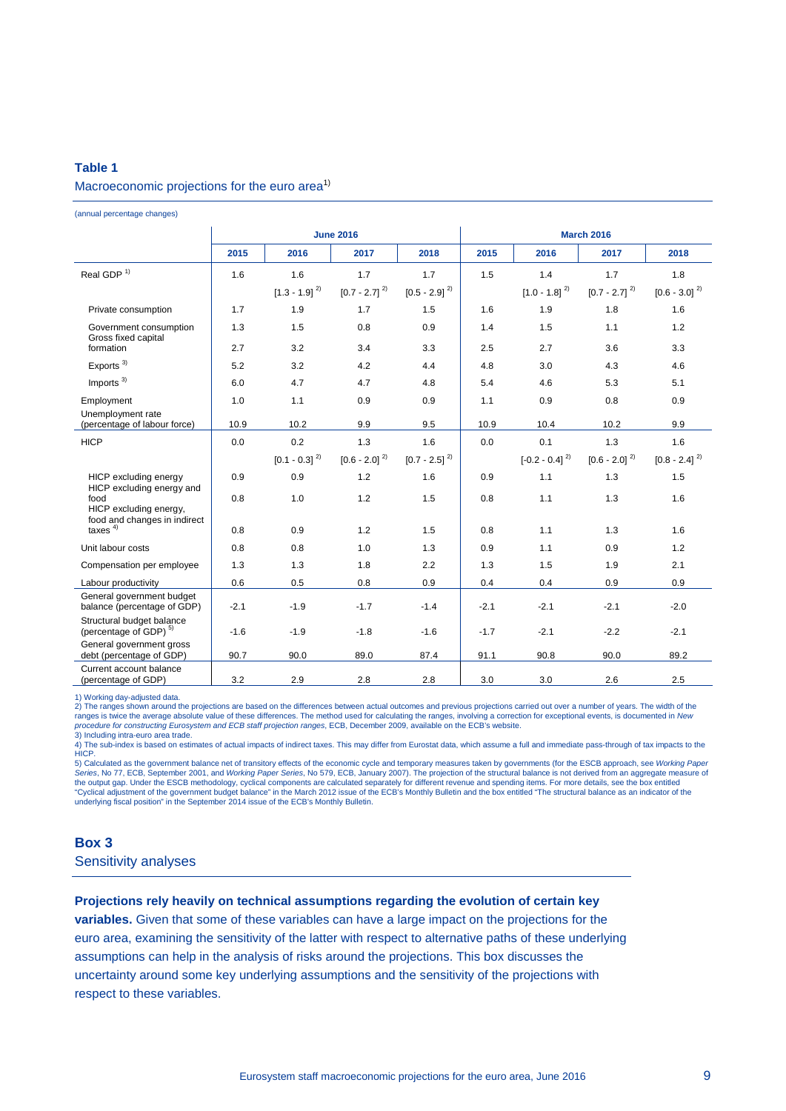# **Table 1** Macroeconomic projections for the euro area<sup>1)</sup>

(annual percentage changes)

|                                                                |        |                   | <b>June 2016</b>  |                   | <b>March 2016</b> |                    |                             |                   |  |
|----------------------------------------------------------------|--------|-------------------|-------------------|-------------------|-------------------|--------------------|-----------------------------|-------------------|--|
|                                                                | 2015   | 2016              | 2017              | 2018              | 2015              | 2016               | 2017                        | 2018              |  |
| Real GDP <sup>1)</sup>                                         | 1.6    | 1.6               | 1.7               | 1.7               | 1.5               | 1.4                | 1.7                         | 1.8               |  |
|                                                                |        | $[1.3 - 1.9]^{2}$ | $[0.7 - 2.7]^{2}$ | $[0.5 - 2.9]^{2}$ |                   | $[1.0 - 1.8]^{2}$  | $[0.7 - 2.7]$ <sup>2)</sup> | $[0.6 - 3.0]^{2}$ |  |
| Private consumption                                            | 1.7    | 1.9               | 1.7               | 1.5               | 1.6               | 1.9                | 1.8                         | 1.6               |  |
| Government consumption<br>Gross fixed capital                  | 1.3    | 1.5               | 0.8               | 0.9               | 1.4               | 1.5                | 1.1                         | 1.2               |  |
| formation                                                      | 2.7    | 3.2               | 3.4               | 3.3               | 2.5               | 2.7                | 3.6                         | 3.3               |  |
| Exports $3)$                                                   | 5.2    | 3.2               | 4.2               | 4.4               | 4.8               | 3.0                | 4.3                         | 4.6               |  |
| Imports $3)$                                                   | 6.0    | 4.7               | 4.7               | 4.8               | 5.4               | 4.6                | 5.3                         | 5.1               |  |
| Employment<br>Unemployment rate                                | 1.0    | 1.1               | 0.9               | 0.9               | 1.1               | 0.9                | 0.8                         | 0.9               |  |
| (percentage of labour force)                                   | 10.9   | 10.2              | 9.9               | 9.5               | 10.9              | 10.4               | 10.2                        | 9.9               |  |
| <b>HICP</b>                                                    | 0.0    | 0.2               | 1.3               | 1.6               | 0.0               | 0.1                | 1.3                         | 1.6               |  |
|                                                                |        | $[0.1 - 0.3]^{2}$ | $[0.6 - 2.0]^{2}$ | $[0.7 - 2.5]^{2}$ |                   | $[-0.2 - 0.4]^{2}$ | $[0.6 - 2.0]$ <sup>2)</sup> | $[0.8 - 2.4]^{2}$ |  |
| HICP excluding energy<br>HICP excluding energy and             | 0.9    | 0.9               | 1.2               | 1.6               | 0.9               | 1.1                | 1.3                         | 1.5               |  |
| food<br>HICP excluding energy,<br>food and changes in indirect | 0.8    | 1.0               | 1.2               | 1.5               | 0.8               | 1.1                | 1.3                         | 1.6               |  |
| taxes $4)$                                                     | 0.8    | 0.9               | 1.2               | 1.5               | 0.8               | 1.1                | 1.3                         | 1.6               |  |
| Unit labour costs                                              | 0.8    | 0.8               | 1.0               | 1.3               | 0.9               | 1.1                | 0.9                         | 1.2               |  |
| Compensation per employee                                      | 1.3    | 1.3               | 1.8               | 2.2               | 1.3               | 1.5                | 1.9                         | 2.1               |  |
| Labour productivity                                            | 0.6    | 0.5               | 0.8               | 0.9               | 0.4               | 0.4                | 0.9                         | 0.9               |  |
| General government budget<br>balance (percentage of GDP)       | $-2.1$ | $-1.9$            | $-1.7$            | $-1.4$            | $-2.1$            | $-2.1$             | $-2.1$                      | $-2.0$            |  |
| Structural budget balance<br>(percentage of GDP) <sup>5)</sup> | $-1.6$ | $-1.9$            | $-1.8$            | $-1.6$            | $-1.7$            | $-2.1$             | $-2.2$                      | $-2.1$            |  |
| General government gross<br>debt (percentage of GDP)           | 90.7   | 90.0              | 89.0              | 87.4              | 91.1              | 90.8               | 90.0                        | 89.2              |  |
| Current account balance<br>(percentage of GDP)                 | 3.2    | 2.9               | 2.8               | 2.8               | 3.0               | 3.0                | 2.6                         | 2.5               |  |

1) Working day-adjusted data.

2) The ranges shown around the projections are based on the differences between actual outcomes and previous projections carried out over a number of years. The width of the ranges is twice the average absolute value of these differences. The method used for calculating the ranges, involving a correction for exceptional events, is documented in *New*<br>*procedure for constructing Eurosystem and* 

3) Including intra-euro area trade. 4) The sub-index is based on estimates of actual impacts of indirect taxes. This may differ from Eurostat data, which assume a full and immediate pass-through of tax impacts to the **HICP** 

5) Calculated as the government balance net of transitory effects of the economic cycle and temporary measures taken by governments (for the ESCB approach, see *Working Paper*<br>Series, No. 77, ECB, September 2001, and *Work* Series, No 77, ECB, September 2001, and *Working Paper Series*, No 579, ECB, January 2007). The projection of the structural balance is not derived from an aggregate mea the output gap. Under the ESCB methodology, cyclical components are calculated separately for different revenue and spending items. For more details, see the box entitled<br>"Cyclical adjustment of the government budget balan

#### **Box 3**

Sensitivity analyses

#### **Projections rely heavily on technical assumptions regarding the evolution of certain key**

**variables.** Given that some of these variables can have a large impact on the projections for the euro area, examining the sensitivity of the latter with respect to alternative paths of these underlying assumptions can help in the analysis of risks around the projections. This box discusses the uncertainty around some key underlying assumptions and the sensitivity of the projections with respect to these variables.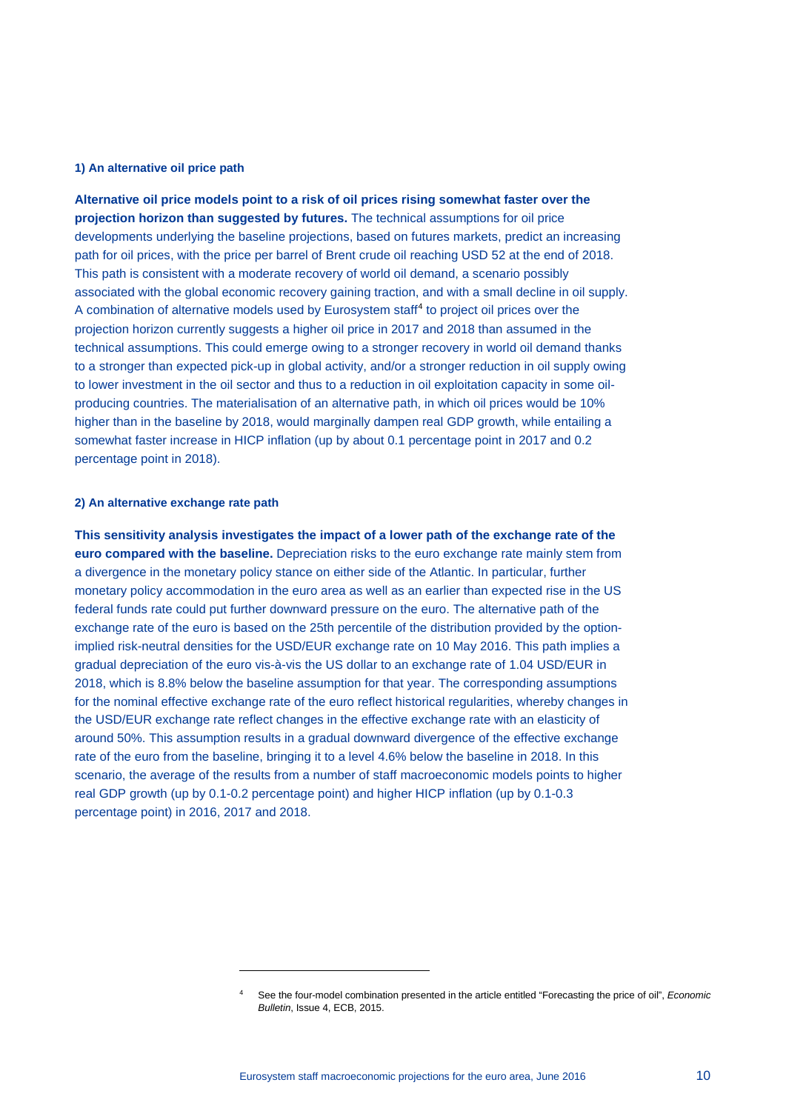#### **1) An alternative oil price path**

**Alternative oil price models point to a risk of oil prices rising somewhat faster over the projection horizon than suggested by futures.** The technical assumptions for oil price developments underlying the baseline projections, based on futures markets, predict an increasing path for oil prices, with the price per barrel of Brent crude oil reaching USD 52 at the end of 2018. This path is consistent with a moderate recovery of world oil demand, a scenario possibly associated with the global economic recovery gaining traction, and with a small decline in oil supply. A combination of alternative models used by Eurosystem staff<sup>[4](#page-9-0)</sup> to project oil prices over the projection horizon currently suggests a higher oil price in 2017 and 2018 than assumed in the technical assumptions. This could emerge owing to a stronger recovery in world oil demand thanks to a stronger than expected pick-up in global activity, and/or a stronger reduction in oil supply owing to lower investment in the oil sector and thus to a reduction in oil exploitation capacity in some oilproducing countries. The materialisation of an alternative path, in which oil prices would be 10% higher than in the baseline by 2018, would marginally dampen real GDP growth, while entailing a somewhat faster increase in HICP inflation (up by about 0.1 percentage point in 2017 and 0.2 percentage point in 2018).

#### **2) An alternative exchange rate path**

-

**This sensitivity analysis investigates the impact of a lower path of the exchange rate of the euro compared with the baseline.** Depreciation risks to the euro exchange rate mainly stem from a divergence in the monetary policy stance on either side of the Atlantic. In particular, further monetary policy accommodation in the euro area as well as an earlier than expected rise in the US federal funds rate could put further downward pressure on the euro. The alternative path of the exchange rate of the euro is based on the 25th percentile of the distribution provided by the optionimplied risk-neutral densities for the USD/EUR exchange rate on 10 May 2016. This path implies a gradual depreciation of the euro vis-à-vis the US dollar to an exchange rate of 1.04 USD/EUR in 2018, which is 8.8% below the baseline assumption for that year. The corresponding assumptions for the nominal effective exchange rate of the euro reflect historical regularities, whereby changes in the USD/EUR exchange rate reflect changes in the effective exchange rate with an elasticity of around 50%. This assumption results in a gradual downward divergence of the effective exchange rate of the euro from the baseline, bringing it to a level 4.6% below the baseline in 2018. In this scenario, the average of the results from a number of staff macroeconomic models points to higher real GDP growth (up by 0.1-0.2 percentage point) and higher HICP inflation (up by 0.1-0.3 percentage point) in 2016, 2017 and 2018.

<span id="page-9-0"></span><sup>4</sup> See the four-model combination presented in the article entitled "Forecasting the price of oil", *Economic Bulletin*, Issue 4, ECB, 2015.